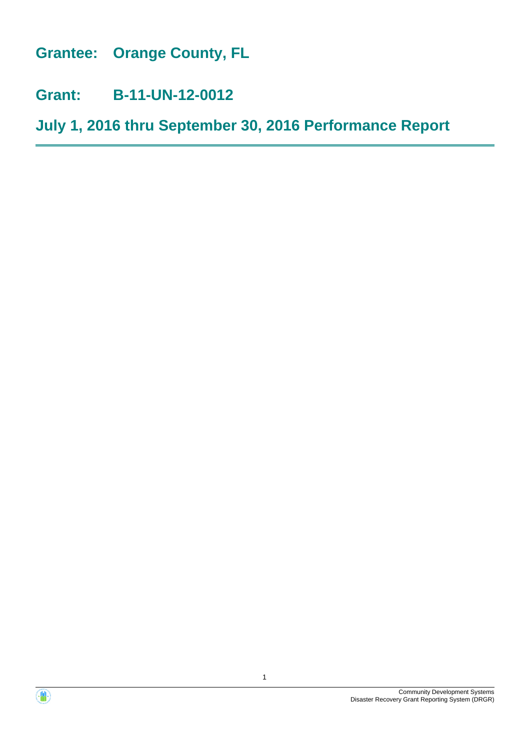**Grantee: Orange County, FL**

**Grant: B-11-UN-12-0012**

**July 1, 2016 thru September 30, 2016 Performance Report**



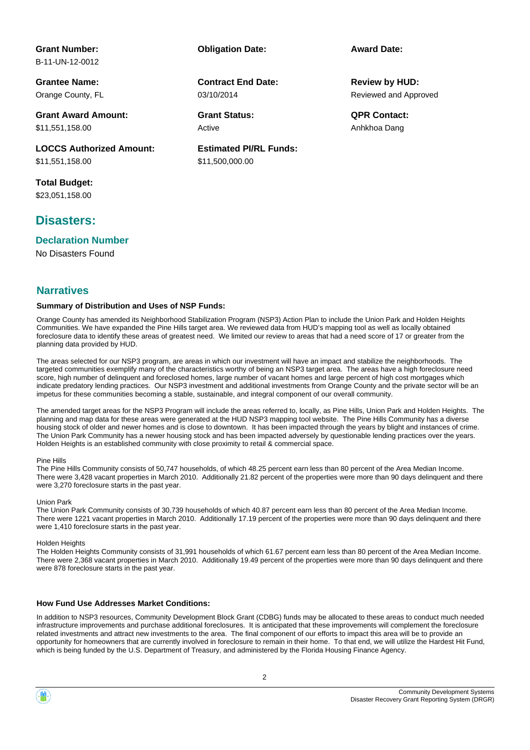#### **Grant Number:** B-11-UN-12-0012

**Grantee Name:**

Orange County, FL

**Grant Award Amount:** \$11,551,158.00

**LOCCS Authorized Amount:** \$11,551,158.00

**Total Budget:** \$23,051,158.00

# **Disasters:**

**Declaration Number**

No Disasters Found

#### **Narratives**

#### **Summary of Distribution and Uses of NSP Funds:**

Orange County has amended its Neighborhood Stabilization Program (NSP3) Action Plan to include the Union Park and Holden Heights Communities. We have expanded the Pine Hills target area. We reviewed data from HUD's mapping tool as well as locally obtained foreclosure data to identify these areas of greatest need. We limited our review to areas that had a need score of 17 or greater from the planning data provided by HUD.

**Estimated PI/RL Funds:**

\$11,500,000.00

03/10/2014

Active

**Contract End Date:**

The areas selected for our NSP3 program, are areas in which our investment will have an impact and stabilize the neighborhoods. The targeted communities exemplify many of the characteristics worthy of being an NSP3 target area. The areas have a high foreclosure need score, high number of delinquent and foreclosed homes, large number of vacant homes and large percent of high cost mortgages which indicate predatory lending practices. Our NSP3 investment and additional investments from Orange County and the private sector will be an impetus for these communities becoming a stable, sustainable, and integral component of our overall community.

The amended target areas for the NSP3 Program will include the areas referred to, locally, as Pine Hills, Union Park and Holden Heights. The planning and map data for these areas were generated at the HUD NSP3 mapping tool website. The Pine Hills Community has a diverse housing stock of older and newer homes and is close to downtown. It has been impacted through the years by blight and instances of crime. The Union Park Community has a newer housing stock and has been impacted adversely by questionable lending practices over the years. Holden Heights is an established community with close proximity to retail & commercial space.

#### Pine Hills

The Pine Hills Community consists of 50,747 households, of which 48.25 percent earn less than 80 percent of the Area Median Income. There were 3,428 vacant properties in March 2010. Additionally 21.82 percent of the properties were more than 90 days delinquent and there were 3,270 foreclosure starts in the past year.

#### Union Park

The Union Park Community consists of 30,739 households of which 40.87 percent earn less than 80 percent of the Area Median Income. There were 1221 vacant properties in March 2010. Additionally 17.19 percent of the properties were more than 90 days delinquent and there were 1,410 foreclosure starts in the past year.

#### Holden Heights

The Holden Heights Community consists of 31,991 households of which 61.67 percent earn less than 80 percent of the Area Median Income. There were 2,368 vacant properties in March 2010. Additionally 19.49 percent of the properties were more than 90 days delinquent and there were 878 foreclosure starts in the past year.

#### **How Fund Use Addresses Market Conditions:**

In addition to NSP3 resources, Community Development Block Grant (CDBG) funds may be allocated to these areas to conduct much needed infrastructure improvements and purchase additional foreclosures. It is anticipated that these improvements will complement the foreclosure related investments and attract new investments to the area. The final component of our efforts to impact this area will be to provide an opportunity for homeowners that are currently involved in foreclosure to remain in their home. To that end, we will utilize the Hardest Hit Fund, which is being funded by the U.S. Department of Treasury, and administered by the Florida Housing Finance Agency.

#### 2

#### Community Development Systems Disaster Recovery Grant Reporting System (DRGR)

**Obligation Date: Award Date:**

Reviewed and Approved **Review by HUD:**

**Grant Status: QPR Contact:** Anhkhoa Dang

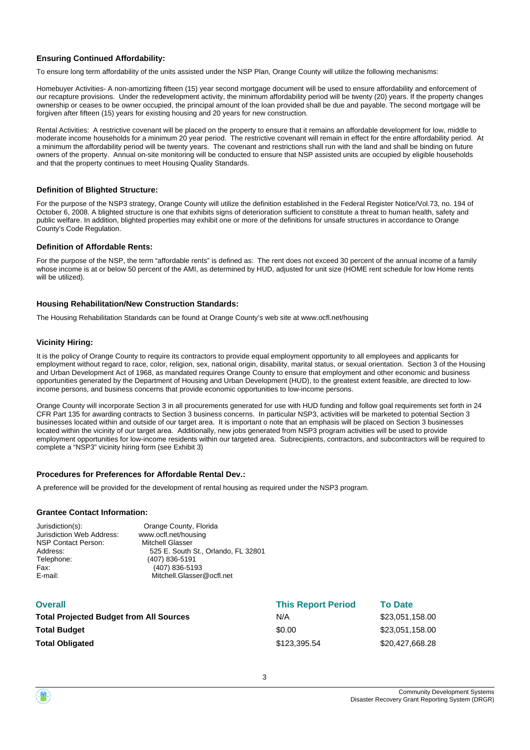#### **Ensuring Continued Affordability:**

To ensure long term affordability of the units assisted under the NSP Plan, Orange County will utilize the following mechanisms:

Homebuyer Activities- A non-amortizing fifteen (15) year second mortgage document will be used to ensure affordability and enforcement of our recapture provisions. Under the redevelopment activity, the minimum affordability period will be twenty (20) years. If the property changes ownership or ceases to be owner occupied, the principal amount of the loan provided shall be due and payable. The second mortgage will be forgiven after fifteen (15) years for existing housing and 20 years for new construction.

Rental Activities: A restrictive covenant will be placed on the property to ensure that it remains an affordable development for low, middle to moderate income households for a minimum 20 year period. The restrictive covenant will remain in effect for the entire affordability period. At a minimum the affordability period will be twenty years. The covenant and restrictions shall run with the land and shall be binding on future owners of the property. Annual on-site monitoring will be conducted to ensure that NSP assisted units are occupied by eligible households and that the property continues to meet Housing Quality Standards.

#### **Definition of Blighted Structure:**

For the purpose of the NSP3 strategy, Orange County will utilize the definition established in the Federal Register Notice/Vol.73, no. 194 of October 6, 2008. A blighted structure is one that exhibits signs of deterioration sufficient to constitute a threat to human health, safety and public welfare. In addition, blighted properties may exhibit one or more of the definitions for unsafe structures in accordance to Orange County's Code Regulation.

#### **Definition of Affordable Rents:**

For the purpose of the NSP, the term "affordable rents" is defined as: The rent does not exceed 30 percent of the annual income of a family whose income is at or below 50 percent of the AMI, as determined by HUD, adjusted for unit size (HOME rent schedule for low Home rents will be utilized).

#### **Housing Rehabilitation/New Construction Standards:**

The Housing Rehabilitation Standards can be found at Orange County's web site at www.ocfl.net/housing

#### **Vicinity Hiring:**

It is the policy of Orange County to require its contractors to provide equal employment opportunity to all employees and applicants for employment without regard to race, color, religion, sex, national origin, disability, marital status, or sexual orientation. Section 3 of the Housing and Urban Development Act of 1968, as mandated requires Orange County to ensure that employment and other economic and business opportunities generated by the Department of Housing and Urban Development (HUD), to the greatest extent feasible, are directed to lowincome persons, and business concerns that provide economic opportunities to low-income persons.

Orange County will incorporate Section 3 in all procurements generated for use with HUD funding and follow goal requirements set forth in 24 CFR Part 135 for awarding contracts to Section 3 business concerns. In particular NSP3, activities will be marketed to potential Section 3 businesses located within and outside of our target area. It is important o note that an emphasis will be placed on Section 3 businesses located within the vicinity of our target area. Additionally, new jobs generated from NSP3 program activities will be used to provide employment opportunities for low-income residents within our targeted area. Subrecipients, contractors, and subcontractors will be required to complete a "NSP3" vicinity hiring form (see Exhibit 3)

#### **Procedures for Preferences for Affordable Rental Dev.:**

A preference will be provided for the development of rental housing as required under the NSP3 program.

#### **Grantee Contact Information:**

| Jurisdiction(s):          | Orange County, Florida              |
|---------------------------|-------------------------------------|
| Jurisdiction Web Address: | www.ocfl.net/housing                |
| NSP Contact Person:       | <b>Mitchell Glasser</b>             |
| Address:                  | 525 E. South St., Orlando, FL 32801 |
| Telephone:                | (407) 836-5191                      |
| Fax:                      | (407) 836-5193                      |
| E-mail:                   | Mitchell.Glasser@ocfl.net           |
|                           |                                     |

| <b>Overall</b>                                 | <b>This Report Period</b> | <b>To Date</b>  |
|------------------------------------------------|---------------------------|-----------------|
| <b>Total Projected Budget from All Sources</b> | N/A                       | \$23,051,158.00 |
| <b>Total Budget</b>                            | \$0.00                    | \$23,051,158.00 |
| <b>Total Obligated</b>                         | \$123,395,54              | \$20,427,668.28 |

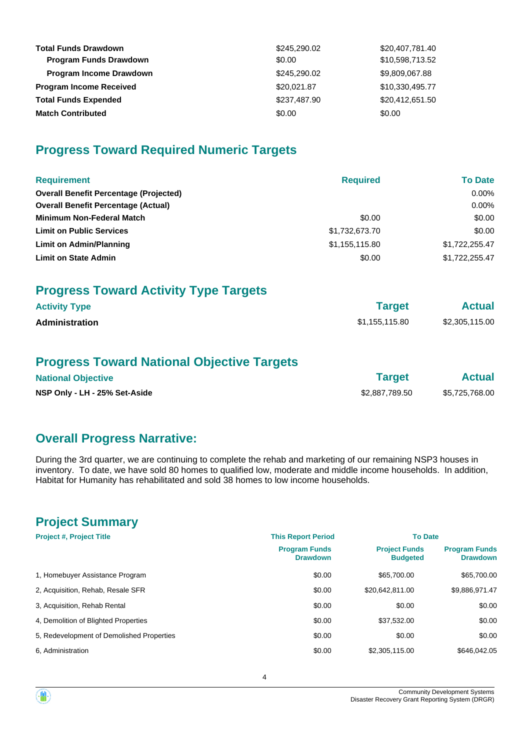| <b>Total Funds Drawdown</b><br><b>Program Funds Drawdown</b> | \$245,290.02<br>\$0.00 | \$20,407,781.40<br>\$10,598,713.52 |
|--------------------------------------------------------------|------------------------|------------------------------------|
| <b>Program Income Drawdown</b>                               | \$245,290.02           | \$9,809,067.88                     |
| <b>Program Income Received</b>                               | \$20,021.87            | \$10,330,495.77                    |
| <b>Total Funds Expended</b>                                  | \$237,487.90           | \$20,412,651.50                    |
| <b>Match Contributed</b>                                     | \$0.00                 | \$0.00                             |

# **Progress Toward Required Numeric Targets**

| <b>Requirement</b>                            | <b>Required</b> | <b>To Date</b> |
|-----------------------------------------------|-----------------|----------------|
| <b>Overall Benefit Percentage (Projected)</b> |                 | $0.00\%$       |
| <b>Overall Benefit Percentage (Actual)</b>    |                 | $0.00\%$       |
| Minimum Non-Federal Match                     | \$0.00          | \$0.00         |
| <b>Limit on Public Services</b>               | \$1,732,673.70  | \$0.00         |
| <b>Limit on Admin/Planning</b>                | \$1,155,115.80  | \$1,722,255.47 |
| <b>Limit on State Admin</b>                   | \$0.00          | \$1,722,255.47 |
| <b>Progress Toward Activity Type Targets</b>  |                 |                |
| <b>Activity Type</b>                          | <b>Target</b>   | <b>Actual</b>  |
| Administration                                | \$1,155,115.80  | \$2,305,115.00 |
|                                               |                 |                |

# **Progress Toward National Objective Targets**

| <b>National Objective</b>     | Target         | <b>Actual</b>  |
|-------------------------------|----------------|----------------|
| NSP Only - LH - 25% Set-Aside | \$2.887.789.50 | \$5,725,768.00 |

# **Overall Progress Narrative:**

During the 3rd quarter, we are continuing to complete the rehab and marketing of our remaining NSP3 houses in inventory. To date, we have sold 80 homes to qualified low, moderate and middle income households. In addition, Habitat for Humanity has rehabilitated and sold 38 homes to low income households.

# **Project Summary**

| <b>Project #, Project Title</b>           | <b>This Report Period</b>               | <b>To Date</b>                          |                                         |  |
|-------------------------------------------|-----------------------------------------|-----------------------------------------|-----------------------------------------|--|
|                                           | <b>Program Funds</b><br><b>Drawdown</b> | <b>Project Funds</b><br><b>Budgeted</b> | <b>Program Funds</b><br><b>Drawdown</b> |  |
| 1. Homebuyer Assistance Program           | \$0.00                                  | \$65,700.00                             | \$65,700.00                             |  |
| 2, Acquisition, Rehab, Resale SFR         | \$0.00                                  | \$20.642.811.00                         | \$9,886,971.47                          |  |
| 3, Acquisition, Rehab Rental              | \$0.00                                  | \$0.00                                  | \$0.00                                  |  |
| 4. Demolition of Blighted Properties      | \$0.00                                  | \$37.532.00                             | \$0.00                                  |  |
| 5. Redevelopment of Demolished Properties | \$0.00                                  | \$0.00                                  | \$0.00                                  |  |
| 6. Administration                         | \$0.00                                  | \$2,305,115.00                          | \$646,042.05                            |  |

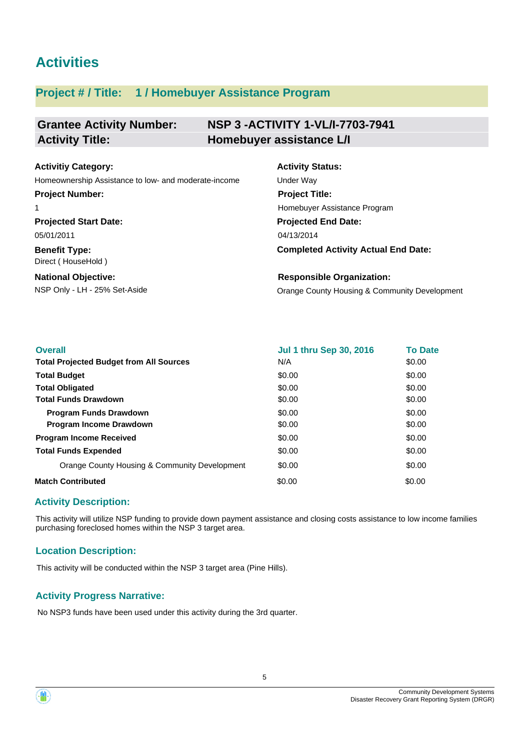# **Activities**

# **Project # / Title: 1 / Homebuyer Assistance Program**

#### **Grantee Activity Number: NSP 3 -ACTIVITY 1-VL/I-7703-7941 Activity Title: Homebuyer assistance L/I**

| <b>Activitiy Category:</b>                           | <b>Activity Status:</b>                       |
|------------------------------------------------------|-----------------------------------------------|
| Homeownership Assistance to low- and moderate-income | Under Way                                     |
| <b>Project Number:</b>                               | <b>Project Title:</b>                         |
|                                                      | Homebuyer Assistance Program                  |
| <b>Projected Start Date:</b>                         | <b>Projected End Date:</b>                    |
| 05/01/2011                                           | 04/13/2014                                    |
| <b>Benefit Type:</b><br>Direct (HouseHold)           | <b>Completed Activity Actual End Date:</b>    |
| <b>National Objective:</b>                           | <b>Responsible Organization:</b>              |
| NSP Only - LH - 25% Set-Aside                        | Orange County Housing & Community Development |

| <b>Overall</b>                                 | <b>Jul 1 thru Sep 30, 2016</b> | <b>To Date</b> |
|------------------------------------------------|--------------------------------|----------------|
| <b>Total Projected Budget from All Sources</b> | N/A                            | \$0.00         |
| <b>Total Budget</b>                            | \$0.00                         | \$0.00         |
| <b>Total Obligated</b>                         | \$0.00                         | \$0.00         |
| <b>Total Funds Drawdown</b>                    | \$0.00                         | \$0.00         |
| <b>Program Funds Drawdown</b>                  | \$0.00                         | \$0.00         |
| <b>Program Income Drawdown</b>                 | \$0.00                         | \$0.00         |
| <b>Program Income Received</b>                 | \$0.00                         | \$0.00         |
| <b>Total Funds Expended</b>                    | \$0.00                         | \$0.00         |
| Orange County Housing & Community Development  | \$0.00                         | \$0.00         |
| <b>Match Contributed</b>                       | \$0.00                         | \$0.00         |

## **Activity Description:**

This activity will utilize NSP funding to provide down payment assistance and closing costs assistance to low income families purchasing foreclosed homes within the NSP 3 target area.

## **Location Description:**

This activity will be conducted within the NSP 3 target area (Pine Hills).

## **Activity Progress Narrative:**

No NSP3 funds have been used under this activity during the 3rd quarter.



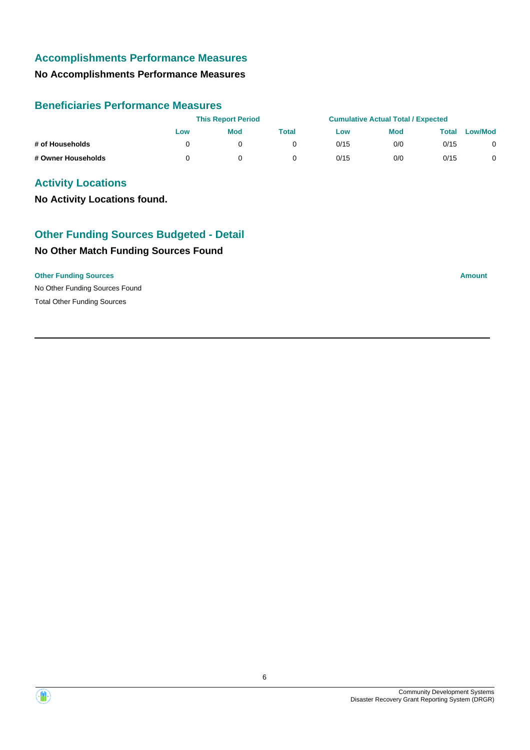# **Accomplishments Performance Measures**

# **No Accomplishments Performance Measures**

#### **Beneficiaries Performance Measures**

|                    |     | <b>This Report Period</b> |       |      | <b>Cumulative Actual Total / Expected</b> |       |                |
|--------------------|-----|---------------------------|-------|------|-------------------------------------------|-------|----------------|
|                    | Low | <b>Mod</b>                | Total | Low  | <b>Mod</b>                                | Total | <b>Low/Mod</b> |
| # of Households    |     |                           |       | 0/15 | 0/0                                       | 0/15  |                |
| # Owner Households |     |                           |       | 0/15 | 0/0                                       | 0/15  |                |

# **Activity Locations**

**No Activity Locations found.**

# **No Other Match Funding Sources Found Other Funding Sources Budgeted - Detail**

#### **Other Funding Sources Amount Amount Amount Amount Amount Amount Amount**

No Other Funding Sources Found Total Other Funding Sources

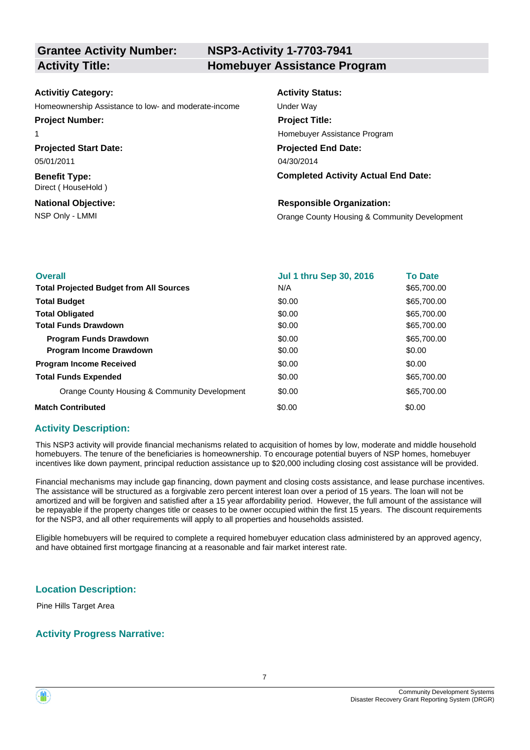# **NSP3-Activity 1-7703-7941 Activity Title: Homebuyer Assistance Program**

| <b>Activitiy Category:</b>                           | <b>Activity Status:</b>                       |
|------------------------------------------------------|-----------------------------------------------|
| Homeownership Assistance to low- and moderate-income | Under Way                                     |
| <b>Project Number:</b>                               | <b>Project Title:</b>                         |
|                                                      | Homebuyer Assistance Program                  |
| <b>Projected Start Date:</b>                         | <b>Projected End Date:</b>                    |
| 05/01/2011                                           | 04/30/2014                                    |
| <b>Benefit Type:</b><br>Direct (HouseHold)           | <b>Completed Activity Actual End Date:</b>    |
| <b>National Objective:</b>                           | <b>Responsible Organization:</b>              |
| NSP Only - LMMI                                      | Orange County Housing & Community Development |

| <b>Overall</b>                                 | <b>Jul 1 thru Sep 30, 2016</b> | <b>To Date</b> |
|------------------------------------------------|--------------------------------|----------------|
| <b>Total Projected Budget from All Sources</b> | N/A                            | \$65,700.00    |
| <b>Total Budget</b>                            | \$0.00                         | \$65,700.00    |
| <b>Total Obligated</b>                         | \$0.00                         | \$65,700.00    |
| <b>Total Funds Drawdown</b>                    | \$0.00                         | \$65,700.00    |
| <b>Program Funds Drawdown</b>                  | \$0.00                         | \$65,700.00    |
| <b>Program Income Drawdown</b>                 | \$0.00                         | \$0.00         |
| <b>Program Income Received</b>                 | \$0.00                         | \$0.00         |
| <b>Total Funds Expended</b>                    | \$0.00                         | \$65,700.00    |
| Orange County Housing & Community Development  | \$0.00                         | \$65,700.00    |
| <b>Match Contributed</b>                       | \$0.00                         | \$0.00         |

#### **Activity Description:**

This NSP3 activity will provide financial mechanisms related to acquisition of homes by low, moderate and middle household homebuyers. The tenure of the beneficiaries is homeownership. To encourage potential buyers of NSP homes, homebuyer incentives like down payment, principal reduction assistance up to \$20,000 including closing cost assistance will be provided.

Financial mechanisms may include gap financing, down payment and closing costs assistance, and lease purchase incentives. The assistance will be structured as a forgivable zero percent interest loan over a period of 15 years. The loan will not be amortized and will be forgiven and satisfied after a 15 year affordability period. However, the full amount of the assistance will be repayable if the property changes title or ceases to be owner occupied within the first 15 years. The discount requirements for the NSP3, and all other requirements will apply to all properties and households assisted.

Eligible homebuyers will be required to complete a required homebuyer education class administered by an approved agency, and have obtained first mortgage financing at a reasonable and fair market interest rate.

#### **Location Description:**

Pine Hills Target Area

#### **Activity Progress Narrative:**

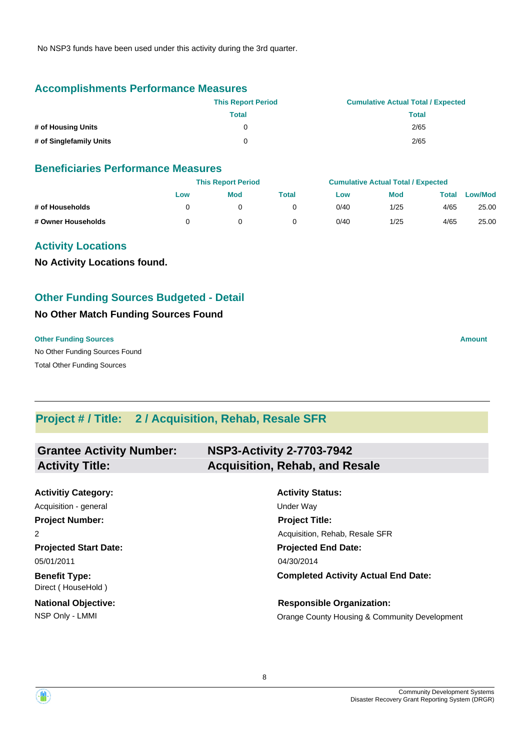No NSP3 funds have been used under this activity during the 3rd quarter.

## **Accomplishments Performance Measures**

|                         | <b>This Report Period</b> | <b>Cumulative Actual Total / Expected</b> |
|-------------------------|---------------------------|-------------------------------------------|
|                         | Total                     | <b>Total</b>                              |
| # of Housing Units      | O                         | 2/65                                      |
| # of Singlefamily Units | 0                         | 2/65                                      |

#### **Beneficiaries Performance Measures**

|                    |     | <b>This Report Period</b> |       |      | <b>Cumulative Actual Total / Expected</b> |       |                |
|--------------------|-----|---------------------------|-------|------|-------------------------------------------|-------|----------------|
|                    | Low | <b>Mod</b>                | Total | Low  | <b>Mod</b>                                | Total | <b>Low/Mod</b> |
| # of Households    |     |                           |       | 0/40 | 1/25                                      | 4/65  | 25.00          |
| # Owner Households |     |                           |       | 0/40 | 1/25                                      | 4/65  | 25.00          |

## **Activity Locations**

**No Activity Locations found.**

## **Other Funding Sources Budgeted - Detail**

#### **No Other Match Funding Sources Found**

#### **Other Funding Sources Amount Amount Amount Amount Amount Amount Amount**

No Other Funding Sources Found Total Other Funding Sources

**Project # / Title: 2 / Acquisition, Rehab, Resale SFR**

| <b>Grantee Activity Number:</b>            | <b>NSP3-Activity 2-7703-7942</b>              |
|--------------------------------------------|-----------------------------------------------|
| <b>Activity Title:</b>                     | <b>Acquisition, Rehab, and Resale</b>         |
|                                            |                                               |
| <b>Activitiy Category:</b>                 | <b>Activity Status:</b>                       |
| Acquisition - general                      | Under Way                                     |
| <b>Project Number:</b>                     | <b>Project Title:</b>                         |
| 2                                          | Acquisition, Rehab, Resale SFR                |
| <b>Projected Start Date:</b>               | <b>Projected End Date:</b>                    |
| 05/01/2011                                 | 04/30/2014                                    |
| <b>Benefit Type:</b><br>Direct (HouseHold) | <b>Completed Activity Actual End Date:</b>    |
| <b>National Objective:</b>                 | <b>Responsible Organization:</b>              |
| NSP Only - LMMI                            | Orange County Housing & Community Development |

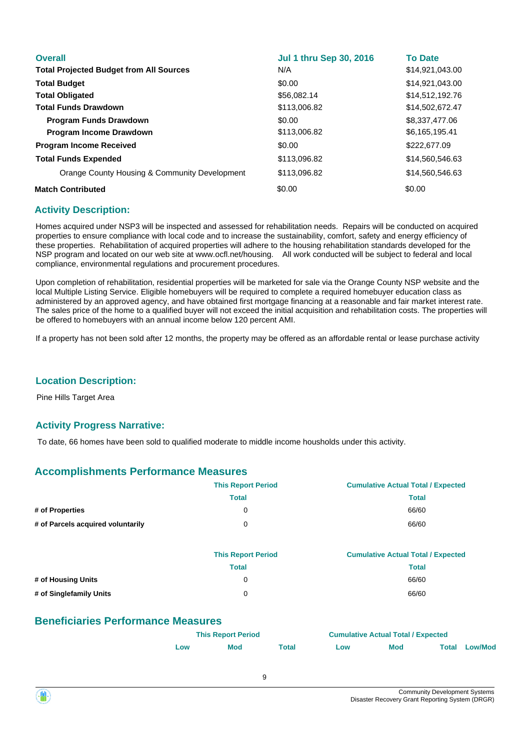| <b>Overall</b>                                 | <b>Jul 1 thru Sep 30, 2016</b> | <b>To Date</b>  |
|------------------------------------------------|--------------------------------|-----------------|
| <b>Total Projected Budget from All Sources</b> | N/A                            | \$14,921,043.00 |
| <b>Total Budget</b>                            | \$0.00                         | \$14.921.043.00 |
| <b>Total Obligated</b>                         | \$56,082.14                    | \$14,512,192.76 |
| <b>Total Funds Drawdown</b>                    | \$113,006.82                   | \$14,502,672.47 |
| <b>Program Funds Drawdown</b>                  | \$0.00                         | \$8,337,477,06  |
| <b>Program Income Drawdown</b>                 | \$113,006.82                   | \$6,165,195.41  |
| <b>Program Income Received</b>                 | \$0.00                         | \$222,677.09    |
| <b>Total Funds Expended</b>                    | \$113,096.82                   | \$14,560,546.63 |
| Orange County Housing & Community Development  | \$113,096.82                   | \$14,560,546.63 |
| <b>Match Contributed</b>                       | \$0.00                         | \$0.00          |

Homes acquired under NSP3 will be inspected and assessed for rehabilitation needs. Repairs will be conducted on acquired properties to ensure compliance with local code and to increase the sustainability, comfort, safety and energy efficiency of these properties. Rehabilitation of acquired properties will adhere to the housing rehabilitation standards developed for the NSP program and located on our web site at www.ocfl.net/housing. All work conducted will be subject to federal and local compliance, environmental regulations and procurement procedures.

Upon completion of rehabilitation, residential properties will be marketed for sale via the Orange County NSP website and the local Multiple Listing Service. Eligible homebuyers will be required to complete a required homebuyer education class as administered by an approved agency, and have obtained first mortgage financing at a reasonable and fair market interest rate. The sales price of the home to a qualified buyer will not exceed the initial acquisition and rehabilitation costs. The properties will be offered to homebuyers with an annual income below 120 percent AMI.

If a property has not been sold after 12 months, the property may be offered as an affordable rental or lease purchase activity

#### **Location Description:**

Pine Hills Target Area

#### **Activity Progress Narrative:**

To date, 66 homes have been sold to qualified moderate to middle income housholds under this activity.

## **Accomplishments Performance Measures**

| <b>This Report Period</b> | <b>Cumulative Actual Total / Expected</b> |
|---------------------------|-------------------------------------------|
| Total                     | Total                                     |
| 0                         | 66/60                                     |
| 0                         | 66/60                                     |
|                           |                                           |

|                         | <b>This Report Period</b> | <b>Cumulative Actual Total / Expected</b> |
|-------------------------|---------------------------|-------------------------------------------|
|                         | Total                     | Total                                     |
| # of Housing Units      | 0                         | 66/60                                     |
| # of Singlefamily Units | 0                         | 66/60                                     |

## **Beneficiaries Performance Measures**

| <b>This Report Period</b> |            |       | <b>Cumulative Actual Total / Expected</b> |            |  |                      |  |
|---------------------------|------------|-------|-------------------------------------------|------------|--|----------------------|--|
| Low                       | <b>Mod</b> | Total | ∟ow                                       | <b>Mod</b> |  | <b>Total Low/Mod</b> |  |

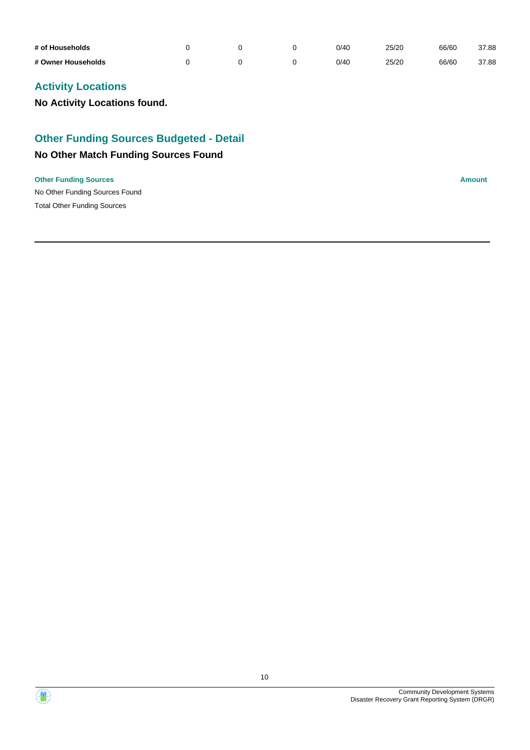| # of Households    |  | 0/40 | 25/20 | 66/60 | 37.88 |
|--------------------|--|------|-------|-------|-------|
| # Owner Households |  | 0/40 | 25/20 | 66/60 | 37.88 |

# **Activity Locations**

**No Activity Locations found.**

# **Other Funding Sources Budgeted - Detail**

# **No Other Match Funding Sources Found**

#### **Other Funding Sources Amount**

No Other Funding Sources Found Total Other Funding Sources

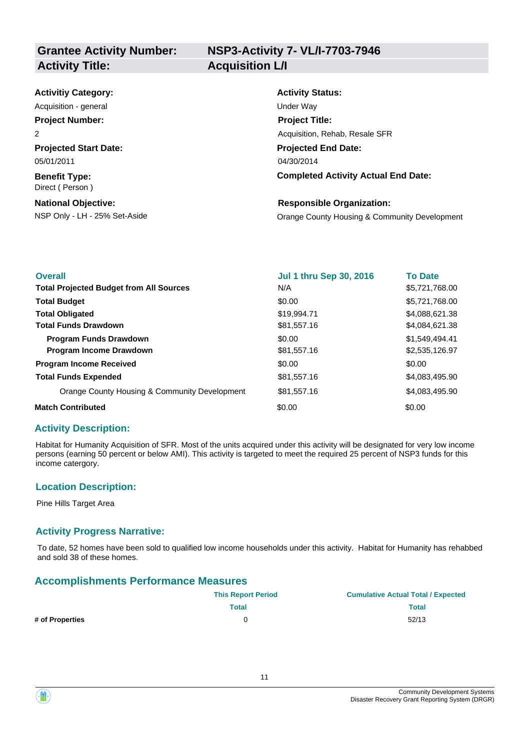| <b>Activitiy Category:</b>              | <b>Activity Status:</b>                       |
|-----------------------------------------|-----------------------------------------------|
| Acquisition - general                   | Under Way                                     |
| <b>Project Number:</b>                  | <b>Project Title:</b>                         |
| 2                                       | Acquisition, Rehab, Resale SFR                |
| <b>Projected Start Date:</b>            | <b>Projected End Date:</b>                    |
| 05/01/2011                              | 04/30/2014                                    |
| <b>Benefit Type:</b><br>Direct (Person) | <b>Completed Activity Actual End Date:</b>    |
| <b>National Objective:</b>              | <b>Responsible Organization:</b>              |
| NSP Only - LH - 25% Set-Aside           | Orange County Housing & Community Development |

| <b>Overall</b>                                 | <b>Jul 1 thru Sep 30, 2016</b> | <b>To Date</b> |
|------------------------------------------------|--------------------------------|----------------|
| <b>Total Projected Budget from All Sources</b> | N/A                            | \$5,721,768.00 |
| <b>Total Budget</b>                            | \$0.00                         | \$5,721,768.00 |
| <b>Total Obligated</b>                         | \$19,994.71                    | \$4,088,621.38 |
| <b>Total Funds Drawdown</b>                    | \$81,557.16                    | \$4,084,621.38 |
| <b>Program Funds Drawdown</b>                  | \$0.00                         | \$1,549,494.41 |
| <b>Program Income Drawdown</b>                 | \$81,557.16                    | \$2,535,126.97 |
| <b>Program Income Received</b>                 | \$0.00                         | \$0.00         |
| <b>Total Funds Expended</b>                    | \$81,557.16                    | \$4,083,495.90 |
| Orange County Housing & Community Development  | \$81,557.16                    | \$4,083,495,90 |
| <b>Match Contributed</b>                       | \$0.00                         | \$0.00         |

Habitat for Humanity Acquisition of SFR. Most of the units acquired under this activity will be designated for very low income persons (earning 50 percent or below AMI). This activity is targeted to meet the required 25 percent of NSP3 funds for this income catergory.

#### **Location Description:**

Pine Hills Target Area

#### **Activity Progress Narrative:**

To date, 52 homes have been sold to qualified low income households under this activity. Habitat for Humanity has rehabbed and sold 38 of these homes.

#### **Accomplishments Performance Measures**

|                 | <b>This Report Period</b> | <b>Cumulative Actual Total / Expected</b> |
|-----------------|---------------------------|-------------------------------------------|
|                 | <b>Total</b>              | <b>Total</b>                              |
| # of Properties |                           | 52/13                                     |

11



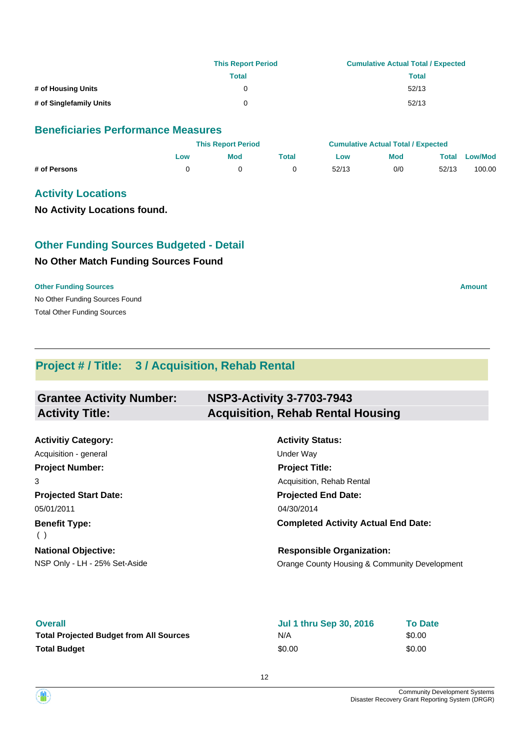|                         | <b>This Report Period</b> | <b>Cumulative Actual Total / Expected</b> |
|-------------------------|---------------------------|-------------------------------------------|
|                         | Total                     | Total                                     |
| # of Housing Units      | 0                         | 52/13                                     |
| # of Singlefamily Units | 0                         | 52/13                                     |

#### **Beneficiaries Performance Measures**

|              |     | <b>This Report Period</b> |       |       | <b>Cumulative Actual Total / Expected</b> |       |                |
|--------------|-----|---------------------------|-------|-------|-------------------------------------------|-------|----------------|
|              | Low | <b>Mod</b>                | Total | Low   | <b>Mod</b>                                | Total | <b>Low/Mod</b> |
| # of Persons |     |                           |       | 52/13 | 0/0                                       | 52/13 | 100.00         |

#### **Activity Locations**

**No Activity Locations found.**

# **Other Funding Sources Budgeted - Detail**

#### **No Other Match Funding Sources Found**

#### **Other Funding Sources Amount**

No Other Funding Sources Found Total Other Funding Sources

**Project # / Title: 3 / Acquisition, Rehab Rental**

| <b>Grantee Activity Number:</b> | <b>NSP3-Activity 3-7703-7943</b>         |
|---------------------------------|------------------------------------------|
| <b>Activity Title:</b>          | <b>Acquisition, Rehab Rental Housing</b> |

**Projected Start Date: Benefit Type: National Objective: Activitiy Category:** 05/01/2011 ( ) Acquisition - general and the contract of the Under Way **Project Number:** 3

**Activity Status: Projected End Date: Completed Activity Actual End Date:** 04/30/2014 **Project Title:** Acquisition, Rehab Rental

NSP Only - LH - 25% Set-Aside **Orange County Housing & Community Development Responsible Organization:**

| <b>Overall</b>                                 | Jul 1 thru Sep 30, 2016 | <b>To Date</b> |
|------------------------------------------------|-------------------------|----------------|
| <b>Total Projected Budget from All Sources</b> | N/A                     | \$0.00         |
| <b>Total Budget</b>                            | \$0.00                  | \$0.00         |

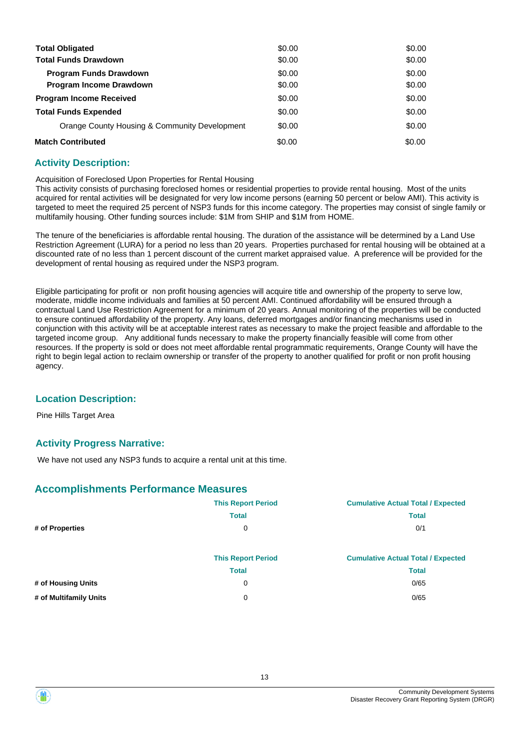| <b>Total Obligated</b>                        | \$0.00 | \$0.00 |
|-----------------------------------------------|--------|--------|
| <b>Total Funds Drawdown</b>                   | \$0.00 | \$0.00 |
| <b>Program Funds Drawdown</b>                 | \$0.00 | \$0.00 |
| <b>Program Income Drawdown</b>                | \$0.00 | \$0.00 |
| <b>Program Income Received</b>                | \$0.00 | \$0.00 |
| <b>Total Funds Expended</b>                   | \$0.00 | \$0.00 |
| Orange County Housing & Community Development | \$0.00 | \$0.00 |
| <b>Match Contributed</b>                      | \$0.00 | \$0.00 |

Acquisition of Foreclosed Upon Properties for Rental Housing

This activity consists of purchasing foreclosed homes or residential properties to provide rental housing. Most of the units acquired for rental activities will be designated for very low income persons (earning 50 percent or below AMI). This activity is targeted to meet the required 25 percent of NSP3 funds for this income category. The properties may consist of single family or multifamily housing. Other funding sources include: \$1M from SHIP and \$1M from HOME.

The tenure of the beneficiaries is affordable rental housing. The duration of the assistance will be determined by a Land Use Restriction Agreement (LURA) for a period no less than 20 years. Properties purchased for rental housing will be obtained at a discounted rate of no less than 1 percent discount of the current market appraised value. A preference will be provided for the development of rental housing as required under the NSP3 program.

Eligible participating for profit or non profit housing agencies will acquire title and ownership of the property to serve low, moderate, middle income individuals and families at 50 percent AMI. Continued affordability will be ensured through a contractual Land Use Restriction Agreement for a minimum of 20 years. Annual monitoring of the properties will be conducted to ensure continued affordability of the property. Any loans, deferred mortgages and/or financing mechanisms used in conjunction with this activity will be at acceptable interest rates as necessary to make the project feasible and affordable to the targeted income group. Any additional funds necessary to make the property financially feasible will come from other resources. If the property is sold or does not meet affordable rental programmatic requirements, Orange County will have the right to begin legal action to reclaim ownership or transfer of the property to another qualified for profit or non profit housing agency.

#### **Location Description:**

Pine Hills Target Area

## **Activity Progress Narrative:**

We have not used any NSP3 funds to acquire a rental unit at this time.

#### **Accomplishments Performance Measures**

|                        | <b>This Report Period</b> | <b>Cumulative Actual Total / Expected</b> |
|------------------------|---------------------------|-------------------------------------------|
|                        | <b>Total</b>              | <b>Total</b>                              |
| # of Properties        | 0                         | 0/1                                       |
|                        |                           |                                           |
|                        | <b>This Report Period</b> | <b>Cumulative Actual Total / Expected</b> |
|                        | <b>Total</b>              | <b>Total</b>                              |
| # of Housing Units     | 0                         | 0/65                                      |
| # of Multifamily Units | 0                         | 0/65                                      |



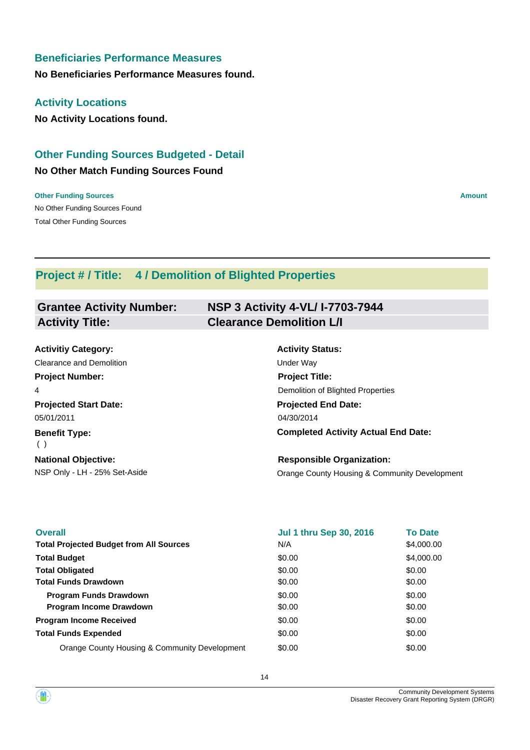## **Beneficiaries Performance Measures**

**No Beneficiaries Performance Measures found.**

#### **Activity Locations**

**No Activity Locations found.**

# **Other Funding Sources Budgeted - Detail**

#### **No Other Match Funding Sources Found**

No Other Funding Sources Found **Other Funding Sources Amount Amount Amount Amount Amount Amount Amount** Total Other Funding Sources

# **Project # / Title: 4 / Demolition of Blighted Properties**

#### **Grantee Activity Number: NSP 3 Activity 4-VL/ I-7703-7944 Activity Title: Clearance Demolition L/I**

| <b>Activitiy Category:</b>    | <b>Activity Status:</b>                       |
|-------------------------------|-----------------------------------------------|
| Clearance and Demolition      | <b>Under Wav</b>                              |
| <b>Project Number:</b>        | <b>Project Title:</b>                         |
| 4                             | Demolition of Blighted Properties             |
| <b>Projected Start Date:</b>  | <b>Projected End Date:</b>                    |
| 05/01/2011                    | 04/30/2014                                    |
| <b>Benefit Type:</b><br>( )   | <b>Completed Activity Actual End Date:</b>    |
| <b>National Objective:</b>    | <b>Responsible Organization:</b>              |
| NSP Only - LH - 25% Set-Aside | Orange County Housing & Community Development |

| <b>Overall</b>                                 | <b>Jul 1 thru Sep 30, 2016</b> | <b>To Date</b> |
|------------------------------------------------|--------------------------------|----------------|
| <b>Total Projected Budget from All Sources</b> | N/A                            | \$4,000.00     |
| <b>Total Budget</b>                            | \$0.00                         | \$4,000.00     |
| <b>Total Obligated</b>                         | \$0.00                         | \$0.00         |
| <b>Total Funds Drawdown</b>                    | \$0.00                         | \$0.00         |
| <b>Program Funds Drawdown</b>                  | \$0.00                         | \$0.00         |
| <b>Program Income Drawdown</b>                 | \$0.00                         | \$0.00         |
| <b>Program Income Received</b>                 | \$0.00                         | \$0.00         |
| <b>Total Funds Expended</b>                    | \$0.00                         | \$0.00         |
| Orange County Housing & Community Development  | \$0.00                         | \$0.00         |

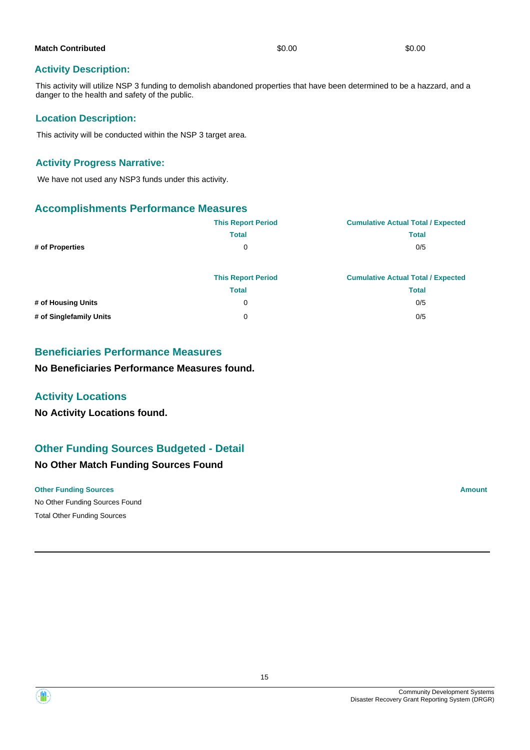| <b>Match Contributed</b> | \$0.00 | \$0.00 |
|--------------------------|--------|--------|
|                          |        |        |

This activity will utilize NSP 3 funding to demolish abandoned properties that have been determined to be a hazzard, and a danger to the health and safety of the public.

#### **Location Description:**

This activity will be conducted within the NSP 3 target area.

#### **Activity Progress Narrative:**

We have not used any NSP3 funds under this activity.

## **Accomplishments Performance Measures**

|                         | <b>This Report Period</b> | <b>Cumulative Actual Total / Expected</b> |
|-------------------------|---------------------------|-------------------------------------------|
|                         | <b>Total</b>              | <b>Total</b>                              |
| # of Properties         | 0                         | 0/5                                       |
|                         | <b>This Report Period</b> | <b>Cumulative Actual Total / Expected</b> |
|                         | <b>Total</b>              | <b>Total</b>                              |
| # of Housing Units      | 0                         | 0/5                                       |
| # of Singlefamily Units | 0                         | 0/5                                       |

## **Beneficiaries Performance Measures**

**No Beneficiaries Performance Measures found.**

## **Activity Locations**

**No Activity Locations found.**

# **Other Funding Sources Budgeted - Detail**

## **No Other Match Funding Sources Found**

#### **Other Funding Sources Amount Amount Amount Amount Amount Amount Amount**

No Other Funding Sources Found Total Other Funding Sources

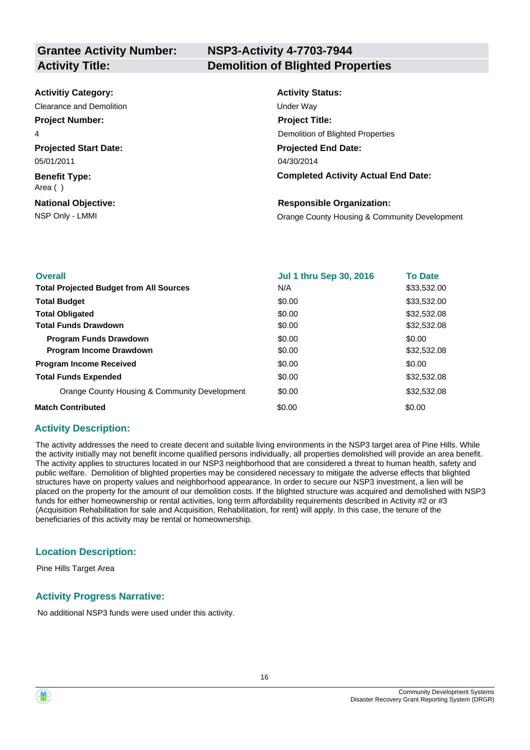# **NSP3-Activity 4-7703-7944 Activity Title: Demolition of Blighted Properties**

| <b>Activitiy Category:</b>      | <b>Activity Status:</b>                       |
|---------------------------------|-----------------------------------------------|
| Clearance and Demolition        | Under Way                                     |
| <b>Project Number:</b>          | <b>Project Title:</b>                         |
| 4                               | Demolition of Blighted Properties             |
| <b>Projected Start Date:</b>    | <b>Projected End Date:</b>                    |
| 05/01/2011                      | 04/30/2014                                    |
| <b>Benefit Type:</b><br>Area () | <b>Completed Activity Actual End Date:</b>    |
| <b>National Objective:</b>      | <b>Responsible Organization:</b>              |
| NSP Only - LMMI                 | Orange County Housing & Community Development |
|                                 |                                               |

| <b>Overall</b>                                 | <b>Jul 1 thru Sep 30, 2016</b> | <b>To Date</b> |
|------------------------------------------------|--------------------------------|----------------|
| <b>Total Projected Budget from All Sources</b> | N/A                            | \$33,532.00    |
| <b>Total Budget</b>                            | \$0.00                         | \$33,532.00    |
| <b>Total Obligated</b>                         | \$0.00                         | \$32,532.08    |
| <b>Total Funds Drawdown</b>                    | \$0.00                         | \$32,532.08    |
| <b>Program Funds Drawdown</b>                  | \$0.00                         | \$0.00         |
| Program Income Drawdown                        | \$0.00                         | \$32,532.08    |
| <b>Program Income Received</b>                 | \$0.00                         | \$0.00         |
| <b>Total Funds Expended</b>                    | \$0.00                         | \$32,532.08    |
| Orange County Housing & Community Development  | \$0.00                         | \$32,532.08    |
| <b>Match Contributed</b>                       | \$0.00                         | \$0.00         |

#### **Activity Description:**

The activity addresses the need to create decent and suitable living environments in the NSP3 target area of Pine Hills. While the activity initially may not benefit income qualified persons individually, all properties demolished will provide an area benefit. The activity applies to structures located in our NSP3 neighborhood that are considered a threat to human health, safety and public welfare. Demolition of blighted properties may be considered necessary to mitigate the adverse effects that blighted structures have on property values and neighborhood appearance. In order to secure our NSP3 investment, a lien will be placed on the property for the amount of our demolition costs. If the blighted structure was acquired and demolished with NSP3 funds for either homeownership or rental activities, long term affordability requirements described in Activity #2 or #3 (Acquisition Rehabilitation for sale and Acquisition, Rehabilitation, for rent) will apply. In this case, the tenure of the beneficiaries of this activity may be rental or homeownership.

## **Location Description:**

Pine Hills Target Area

## **Activity Progress Narrative:**

No additional NSP3 funds were used under this activity.

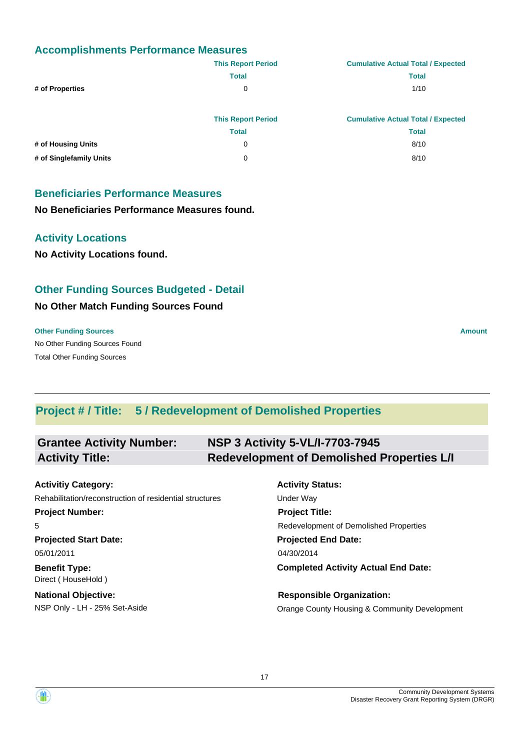## **Accomplishments Performance Measures**

|                         | <b>This Report Period</b> | <b>Cumulative Actual Total / Expected</b> |
|-------------------------|---------------------------|-------------------------------------------|
|                         | <b>Total</b>              | <b>Total</b>                              |
| # of Properties         | 0                         | 1/10                                      |
|                         |                           |                                           |
|                         | <b>This Report Period</b> | <b>Cumulative Actual Total / Expected</b> |
|                         | <b>Total</b>              | <b>Total</b>                              |
| # of Housing Units      | 0                         | 8/10                                      |
| # of Singlefamily Units | 0                         | 8/10                                      |

## **Beneficiaries Performance Measures**

#### **No Beneficiaries Performance Measures found.**

## **Activity Locations**

**No Activity Locations found.**

# **Other Funding Sources Budgeted - Detail**

#### **No Other Match Funding Sources Found**

#### **Other Funding Sources Amount Amount Amount Amount Amount Amount Amount**

No Other Funding Sources Found Total Other Funding Sources

# **Project # / Title: 5 / Redevelopment of Demolished Properties**

| <b>Grantee Activity Number:</b> | <b>NSP 3 Activity 5-VL/I-7703-7945</b>            |
|---------------------------------|---------------------------------------------------|
| <b>Activity Title:</b>          | <b>Redevelopment of Demolished Properties L/I</b> |

| <b>Activitiy Category:</b>                              | <b>Activity Status:</b>                       |
|---------------------------------------------------------|-----------------------------------------------|
| Rehabilitation/reconstruction of residential structures | Under Way                                     |
| <b>Project Number:</b>                                  | <b>Project Title:</b>                         |
| 5                                                       | Redevelopment of Demolished Properties        |
| <b>Projected Start Date:</b>                            | <b>Projected End Date:</b>                    |
| 05/01/2011                                              | 04/30/2014                                    |
| <b>Benefit Type:</b><br>Direct (HouseHold)              | <b>Completed Activity Actual End Date:</b>    |
| <b>National Objective:</b>                              | <b>Responsible Organization:</b>              |
| NSP Only - LH - 25% Set-Aside                           | Orange County Housing & Community Development |

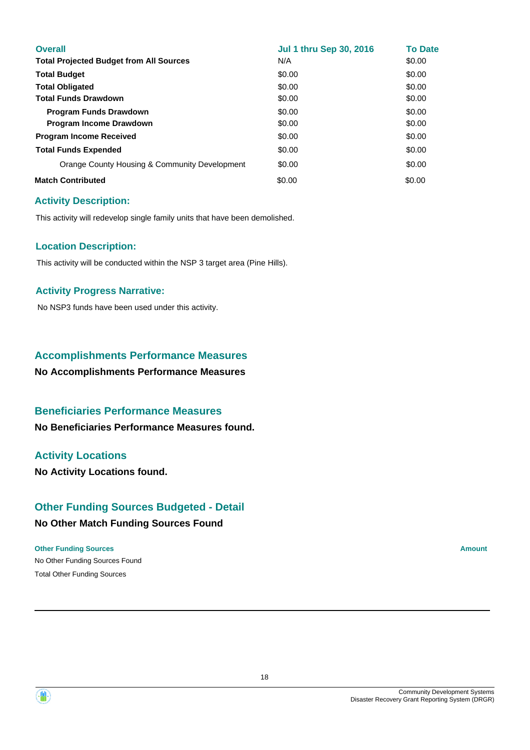| <b>Overall</b>                                 | <b>Jul 1 thru Sep 30, 2016</b> | <b>To Date</b> |
|------------------------------------------------|--------------------------------|----------------|
| <b>Total Projected Budget from All Sources</b> | N/A                            | \$0.00         |
| <b>Total Budget</b>                            | \$0.00                         | \$0.00         |
| <b>Total Obligated</b>                         | \$0.00                         | \$0.00         |
| <b>Total Funds Drawdown</b>                    | \$0.00                         | \$0.00         |
| <b>Program Funds Drawdown</b>                  | \$0.00                         | \$0.00         |
| <b>Program Income Drawdown</b>                 | \$0.00                         | \$0.00         |
| <b>Program Income Received</b>                 | \$0.00                         | \$0.00         |
| <b>Total Funds Expended</b>                    | \$0.00                         | \$0.00         |
| Orange County Housing & Community Development  | \$0.00                         | \$0.00         |
| <b>Match Contributed</b>                       | \$0.00                         | \$0.00         |

This activity will redevelop single family units that have been demolished.

#### **Location Description:**

This activity will be conducted within the NSP 3 target area (Pine Hills).

#### **Activity Progress Narrative:**

No NSP3 funds have been used under this activity.

## **Accomplishments Performance Measures**

**No Accomplishments Performance Measures**

## **Beneficiaries Performance Measures**

**No Beneficiaries Performance Measures found.**

## **Activity Locations**

**No Activity Locations found.**

## **Other Funding Sources Budgeted - Detail**

#### **No Other Match Funding Sources Found**

#### **Other Funding Sources Amount Amount Amount Amount Amount Amount Amount**

No Other Funding Sources Found Total Other Funding Sources

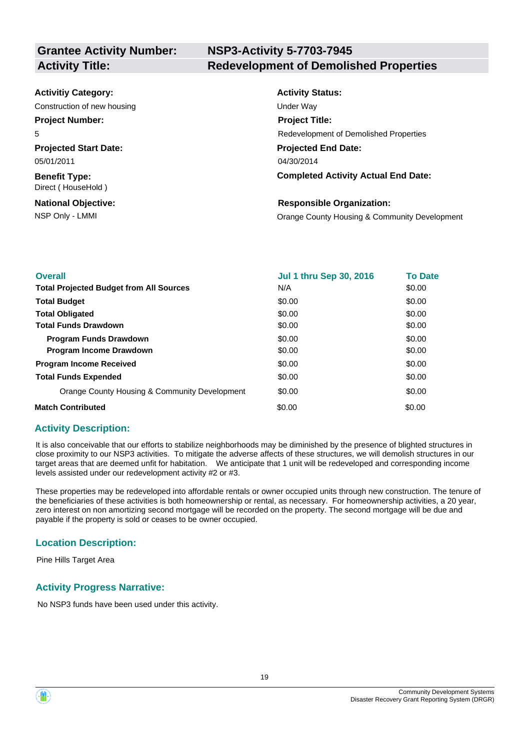# **NSP3-Activity 5-7703-7945 Activity Title: Redevelopment of Demolished Properties**

| <b>Activitiy Category:</b>                 | <b>Activity Status:</b>                       |
|--------------------------------------------|-----------------------------------------------|
| Construction of new housing                | Under Way                                     |
| <b>Project Number:</b>                     | <b>Project Title:</b>                         |
| 5                                          | Redevelopment of Demolished Properties        |
| <b>Projected Start Date:</b>               | <b>Projected End Date:</b>                    |
| 05/01/2011                                 | 04/30/2014                                    |
| <b>Benefit Type:</b><br>Direct (HouseHold) | <b>Completed Activity Actual End Date:</b>    |
| <b>National Objective:</b>                 | <b>Responsible Organization:</b>              |
| NSP Only - LMMI                            | Orange County Housing & Community Development |

| <b>Overall</b>                                 | <b>Jul 1 thru Sep 30, 2016</b> | <b>To Date</b> |
|------------------------------------------------|--------------------------------|----------------|
| <b>Total Projected Budget from All Sources</b> | N/A                            | \$0.00         |
| <b>Total Budget</b>                            | \$0.00                         | \$0.00         |
| <b>Total Obligated</b>                         | \$0.00                         | \$0.00         |
| <b>Total Funds Drawdown</b>                    | \$0.00                         | \$0.00         |
| <b>Program Funds Drawdown</b>                  | \$0.00                         | \$0.00         |
| <b>Program Income Drawdown</b>                 | \$0.00                         | \$0.00         |
| <b>Program Income Received</b>                 | \$0.00                         | \$0.00         |
| <b>Total Funds Expended</b>                    | \$0.00                         | \$0.00         |
| Orange County Housing & Community Development  | \$0.00                         | \$0.00         |
| <b>Match Contributed</b>                       | \$0.00                         | \$0.00         |

#### **Activity Description:**

It is also conceivable that our efforts to stabilize neighborhoods may be diminished by the presence of blighted structures in close proximity to our NSP3 activities. To mitigate the adverse affects of these structures, we will demolish structures in our target areas that are deemed unfit for habitation. We anticipate that 1 unit will be redeveloped and corresponding income levels assisted under our redevelopment activity #2 or #3.

These properties may be redeveloped into affordable rentals or owner occupied units through new construction. The tenure of the beneficiaries of these activities is both homeownership or rental, as necessary. For homeownership activities, a 20 year, zero interest on non amortizing second mortgage will be recorded on the property. The second mortgage will be due and payable if the property is sold or ceases to be owner occupied.

#### **Location Description:**

Pine Hills Target Area

#### **Activity Progress Narrative:**

No NSP3 funds have been used under this activity.



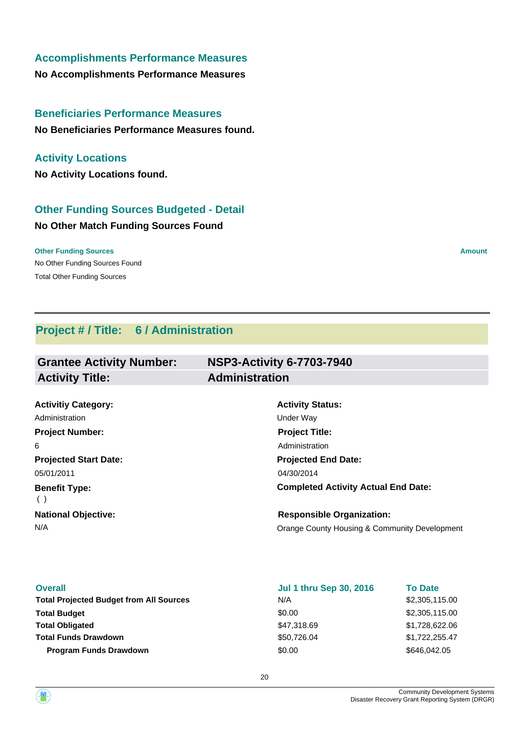## **Accomplishments Performance Measures**

**No Accomplishments Performance Measures**

# **Beneficiaries Performance Measures**

**No Beneficiaries Performance Measures found.**

# **Activity Locations**

**No Activity Locations found.**

# **Other Funding Sources Budgeted - Detail**

## **No Other Match Funding Sources Found**

No Other Funding Sources Found **Other Funding Sources Amount Amount Amount Amount Amount Amount Amount** Total Other Funding Sources

# **Project # / Title: 6 / Administration**

| <b>Grantee Activity Number:</b> | <b>NSP3-Activity 6-7703-7940</b>              |  |
|---------------------------------|-----------------------------------------------|--|
| <b>Activity Title:</b>          | <b>Administration</b>                         |  |
|                                 |                                               |  |
| <b>Activitiy Category:</b>      | <b>Activity Status:</b>                       |  |
| Administration                  | Under Way                                     |  |
| <b>Project Number:</b>          | <b>Project Title:</b>                         |  |
| 6                               | Administration                                |  |
| <b>Projected Start Date:</b>    | <b>Projected End Date:</b>                    |  |
| 05/01/2011                      | 04/30/2014                                    |  |
| <b>Benefit Type:</b><br>( )     | <b>Completed Activity Actual End Date:</b>    |  |
| <b>National Objective:</b>      | <b>Responsible Organization:</b>              |  |
| N/A                             | Orange County Housing & Community Development |  |

| <b>Overall</b>                                 | <b>Jul 1 thru Sep 30, 2016</b> | <b>To Date</b> |
|------------------------------------------------|--------------------------------|----------------|
| <b>Total Projected Budget from All Sources</b> | N/A                            | \$2,305,115.00 |
| <b>Total Budget</b>                            | \$0.00                         | \$2,305,115.00 |
| <b>Total Obligated</b>                         | \$47,318.69                    | \$1,728,622.06 |
| <b>Total Funds Drawdown</b>                    | \$50,726.04                    | \$1,722,255.47 |
| <b>Program Funds Drawdown</b>                  | \$0.00                         | \$646,042.05   |